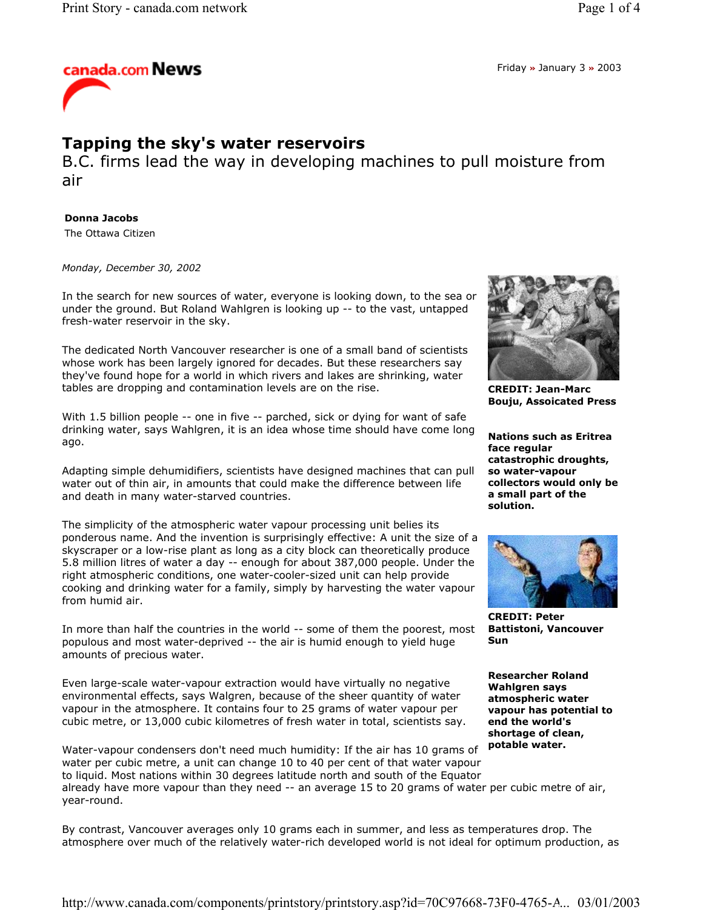

# **Tapping the sky's water reservoirs**

B.C. firms lead the way in developing machines to pull moisture from air

## **Donna Jacobs**

The Ottawa Citizen

### *Monday, December 30, 2002*

In the search for new sources of water, everyone is looking down, to the sea or under the ground. But Roland Wahlgren is looking up -- to the vast, untapped fresh-water reservoir in the sky.

The dedicated North Vancouver researcher is one of a small band of scientists whose work has been largely ignored for decades. But these researchers say they've found hope for a world in which rivers and lakes are shrinking, water tables are dropping and contamination levels are on the rise.

With 1.5 billion people -- one in five -- parched, sick or dying for want of safe drinking water, says Wahlgren, it is an idea whose time should have come long ago.

Adapting simple dehumidifiers, scientists have designed machines that can pull water out of thin air, in amounts that could make the difference between life and death in many water-starved countries.

The simplicity of the atmospheric water vapour processing unit belies its ponderous name. And the invention is surprisingly effective: A unit the size of a skyscraper or a low-rise plant as long as a city block can theoretically produce 5.8 million litres of water a day -- enough for about 387,000 people. Under the right atmospheric conditions, one water-cooler-sized unit can help provide cooking and drinking water for a family, simply by harvesting the water vapour from humid air.

In more than half the countries in the world -- some of them the poorest, most populous and most water-deprived -- the air is humid enough to yield huge amounts of precious water.

Even large-scale water-vapour extraction would have virtually no negative environmental effects, says Walgren, because of the sheer quantity of water vapour in the atmosphere. It contains four to 25 grams of water vapour per cubic metre, or 13,000 cubic kilometres of fresh water in total, scientists say.



**CREDIT: Jean-Marc Bouju, Assoicated Press** 

**Nations such as Eritrea face regular catastrophic droughts, so water-vapour collectors would only be a small part of the solution.** 



**CREDIT: Peter Battistoni, Vancouver Sun** 

**Researcher Roland Wahlgren says atmospheric water vapour has potential to end the world's shortage of clean, potable water.** 

Water-vapour condensers don't need much humidity: If the air has 10 grams of water per cubic metre, a unit can change 10 to 40 per cent of that water vapour to liquid. Most nations within 30 degrees latitude north and south of the Equator already have more vapour than they need -- an average 15 to 20 grams of water per cubic metre of air, year-round.

By contrast, Vancouver averages only 10 grams each in summer, and less as temperatures drop. The atmosphere over much of the relatively water-rich developed world is not ideal for optimum production, as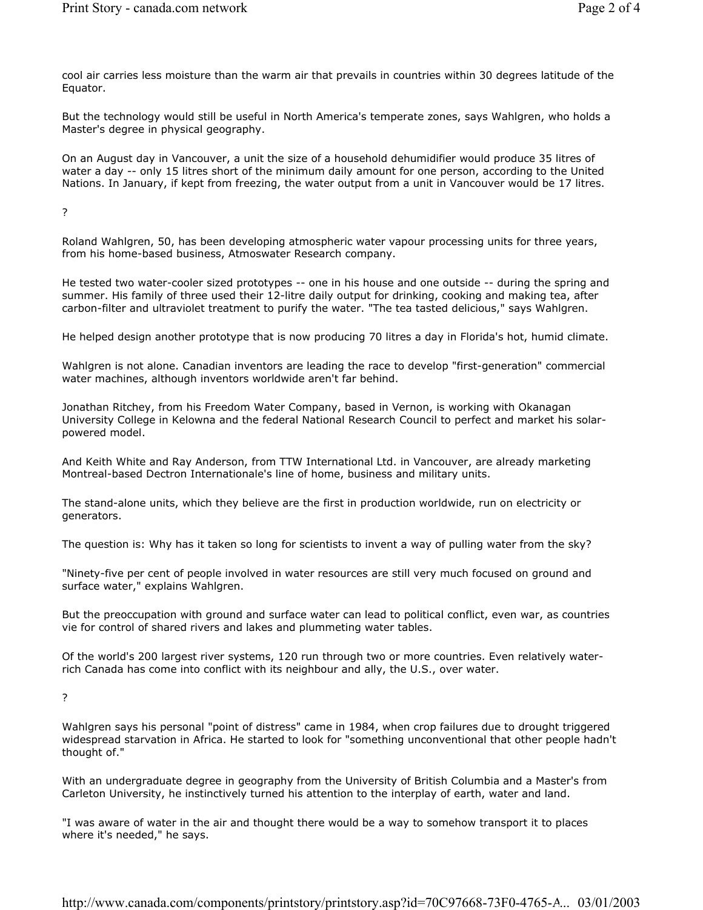cool air carries less moisture than the warm air that prevails in countries within 30 degrees latitude of the Equator.

But the technology would still be useful in North America's temperate zones, says Wahlgren, who holds a Master's degree in physical geography.

On an August day in Vancouver, a unit the size of a household dehumidifier would produce 35 litres of water a day -- only 15 litres short of the minimum daily amount for one person, according to the United Nations. In January, if kept from freezing, the water output from a unit in Vancouver would be 17 litres.

?

Roland Wahlgren, 50, has been developing atmospheric water vapour processing units for three years, from his home-based business, Atmoswater Research company.

He tested two water-cooler sized prototypes -- one in his house and one outside -- during the spring and summer. His family of three used their 12-litre daily output for drinking, cooking and making tea, after carbon-filter and ultraviolet treatment to purify the water. "The tea tasted delicious," says Wahlgren.

He helped design another prototype that is now producing 70 litres a day in Florida's hot, humid climate.

Wahlgren is not alone. Canadian inventors are leading the race to develop "first-generation" commercial water machines, although inventors worldwide aren't far behind.

Jonathan Ritchey, from his Freedom Water Company, based in Vernon, is working with Okanagan University College in Kelowna and the federal National Research Council to perfect and market his solarpowered model.

And Keith White and Ray Anderson, from TTW International Ltd. in Vancouver, are already marketing Montreal-based Dectron Internationale's line of home, business and military units.

The stand-alone units, which they believe are the first in production worldwide, run on electricity or generators.

The question is: Why has it taken so long for scientists to invent a way of pulling water from the sky?

"Ninety-five per cent of people involved in water resources are still very much focused on ground and surface water," explains Wahlgren.

But the preoccupation with ground and surface water can lead to political conflict, even war, as countries vie for control of shared rivers and lakes and plummeting water tables.

Of the world's 200 largest river systems, 120 run through two or more countries. Even relatively waterrich Canada has come into conflict with its neighbour and ally, the U.S., over water.

?

Wahlgren says his personal "point of distress" came in 1984, when crop failures due to drought triggered widespread starvation in Africa. He started to look for "something unconventional that other people hadn't thought of."

With an undergraduate degree in geography from the University of British Columbia and a Master's from Carleton University, he instinctively turned his attention to the interplay of earth, water and land.

"I was aware of water in the air and thought there would be a way to somehow transport it to places where it's needed," he says.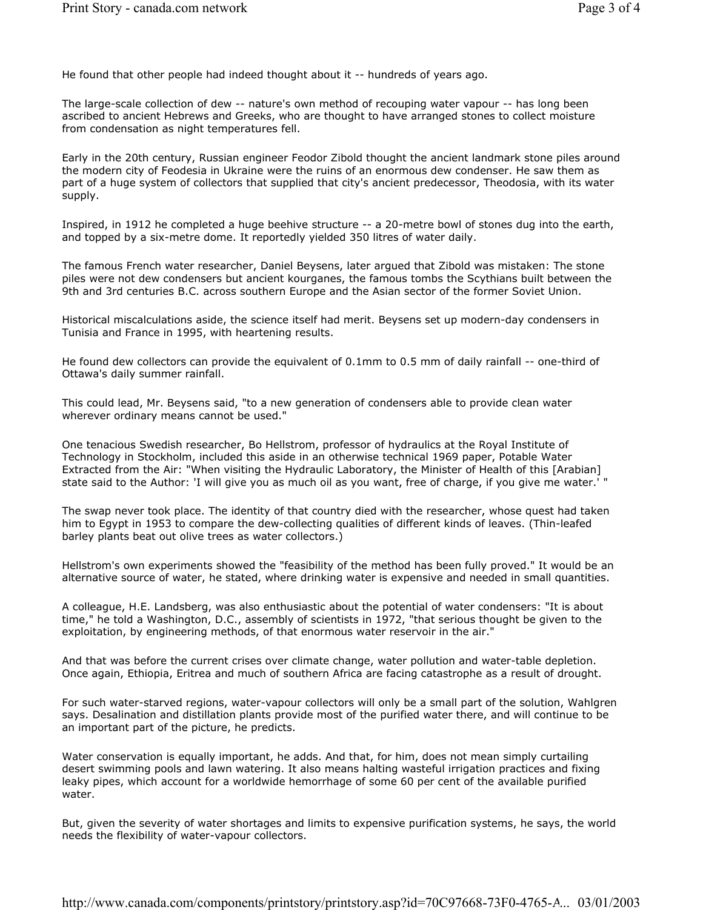He found that other people had indeed thought about it -- hundreds of years ago.

The large-scale collection of dew -- nature's own method of recouping water vapour -- has long been ascribed to ancient Hebrews and Greeks, who are thought to have arranged stones to collect moisture from condensation as night temperatures fell.

Early in the 20th century, Russian engineer Feodor Zibold thought the ancient landmark stone piles around the modern city of Feodesia in Ukraine were the ruins of an enormous dew condenser. He saw them as part of a huge system of collectors that supplied that city's ancient predecessor, Theodosia, with its water supply.

Inspired, in 1912 he completed a huge beehive structure -- a 20-metre bowl of stones dug into the earth, and topped by a six-metre dome. It reportedly yielded 350 litres of water daily.

The famous French water researcher, Daniel Beysens, later argued that Zibold was mistaken: The stone piles were not dew condensers but ancient kourganes, the famous tombs the Scythians built between the 9th and 3rd centuries B.C. across southern Europe and the Asian sector of the former Soviet Union.

Historical miscalculations aside, the science itself had merit. Beysens set up modern-day condensers in Tunisia and France in 1995, with heartening results.

He found dew collectors can provide the equivalent of 0.1mm to 0.5 mm of daily rainfall -- one-third of Ottawa's daily summer rainfall.

This could lead, Mr. Beysens said, "to a new generation of condensers able to provide clean water wherever ordinary means cannot be used."

One tenacious Swedish researcher, Bo Hellstrom, professor of hydraulics at the Royal Institute of Technology in Stockholm, included this aside in an otherwise technical 1969 paper, Potable Water Extracted from the Air: "When visiting the Hydraulic Laboratory, the Minister of Health of this [Arabian] state said to the Author: 'I will give you as much oil as you want, free of charge, if you give me water.' "

The swap never took place. The identity of that country died with the researcher, whose quest had taken him to Egypt in 1953 to compare the dew-collecting qualities of different kinds of leaves. (Thin-leafed barley plants beat out olive trees as water collectors.)

Hellstrom's own experiments showed the "feasibility of the method has been fully proved." It would be an alternative source of water, he stated, where drinking water is expensive and needed in small quantities.

A colleague, H.E. Landsberg, was also enthusiastic about the potential of water condensers: "It is about time," he told a Washington, D.C., assembly of scientists in 1972, "that serious thought be given to the exploitation, by engineering methods, of that enormous water reservoir in the air."

And that was before the current crises over climate change, water pollution and water-table depletion. Once again, Ethiopia, Eritrea and much of southern Africa are facing catastrophe as a result of drought.

For such water-starved regions, water-vapour collectors will only be a small part of the solution, Wahlgren says. Desalination and distillation plants provide most of the purified water there, and will continue to be an important part of the picture, he predicts.

Water conservation is equally important, he adds. And that, for him, does not mean simply curtailing desert swimming pools and lawn watering. It also means halting wasteful irrigation practices and fixing leaky pipes, which account for a worldwide hemorrhage of some 60 per cent of the available purified water.

But, given the severity of water shortages and limits to expensive purification systems, he says, the world needs the flexibility of water-vapour collectors.